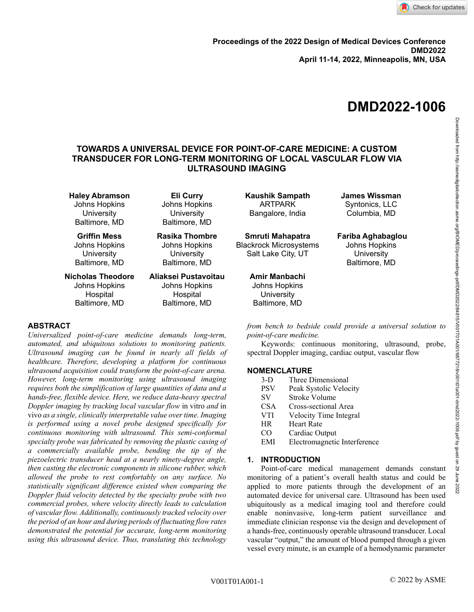

# **DMD2022-1006**

# **TOWARDS A UNIVERSAL DEVICE FOR POINT-OF-CARE MEDICINE: A CUSTOM TRANSDUCER FOR LONG-TERM MONITORING OF LOCAL VASCULAR FLOW VIA ULTRASOUND IMAGING**

**Haley Abramson** Johns Hopkins **University** Baltimore, MD

**Griffin Mess** Johns Hopkins **University** Baltimore, MD

**Nicholas Theodore** Johns Hopkins Hospital Baltimore, MD

## **ABSTRACT**

*Universalized point-of-care medicine demands long-term, automated, and ubiquitous solutions to monitoring patients. Ultrasound imaging can be found in nearly all fields of healthcare. Therefore, developing a platform for continuous ultrasound acquisition could transform the point-of-care arena. However, long-term monitoring using ultrasound imaging requires both the simplification of large quantities of data and a hands-free, flexible device. Here, we reduce data-heavy spectral Doppler imaging by tracking local vascular flow* in vitro *and* in vivo *as a single, clinically interpretable value over time. Imaging is performed using a novel probe designed specifically for continuous monitoring with ultrasound. This semi-conformal specialty probe was fabricated by removing the plastic casing of a commercially available probe, bending the tip of the piezoelectric transducer head at a nearly ninety-degree angle, then casting the electronic components in silicone rubber, which allowed the probe to rest comfortably on any surface. No statistically significant difference existed when comparing the Doppler fluid velocity detected by the specialty probe with two commercial probes, where velocity directly leads to calculation of vascular flow. Additionally, continuously tracked velocity over the period of an hour and during periods of fluctuating flow rates demonstrated the potential for accurate, long-term monitoring using this ultrasound device. Thus, translating this technology* 

**Eli Curry** Johns Hopkins **University** Baltimore, MD

**Rasika Thombre** Johns Hopkins **University** Baltimore, MD

## **Aliaksei Pustavoitau** Johns Hopkins Hospital Baltimore, MD

**Kaushik Sampath** ARTPARK Bangalore, India

**Smruti Mahapatra** Blackrock Microsystems Salt Lake City, UT

# **Amir Manbachi**

Johns Hopkins **University** Baltimore, MD

**James Wissman** Syntonics, LLC Columbia, MD

**Fariba Aghabaglou** Johns Hopkins **University** Baltimore, MD

*from bench to bedside could provide a universal solution to point-of-care medicine.*

Keywords: continuous monitoring, ultrasound, probe, spectral Doppler imaging, cardiac output, vascular flow

## **NOMENCLATURE**

- 3-D Three Dimensional
- PSV Peak Systolic Velocity
- SV Stroke Volume
- CSA Cross-sectional Area
- VTI Velocity Time Integral
- HR Heart Rate
- CO Cardiac Output
- EMI Electromagnetic Interference

## **1. INTRODUCTION**

Point-of-care medical management demands constant monitoring of a patient's overall health status and could be applied to more patients through the development of an automated device for universal care. Ultrasound has been used ubiquitously as a medical imaging tool and therefore could enable noninvasive, long-term patient surveillance and immediate clinician response via the design and development of a hands-free, continuously operable ultrasound transducer. Local vascular "output," the amount of blood pumped through a given vessel every minute, is an example of a hemodynamic parameter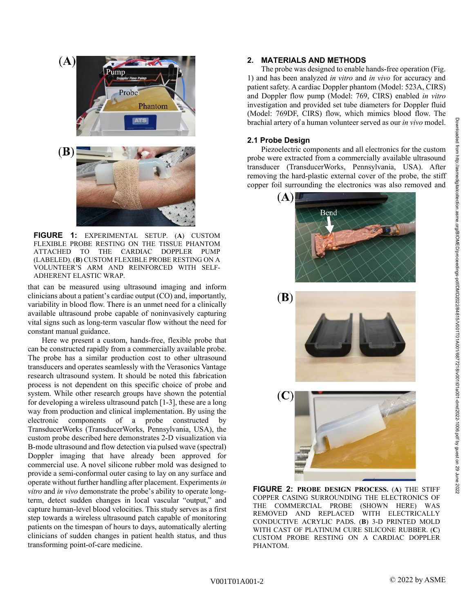

**FIGURE 1:** EXPERIMENTAL SETUP. (**A**) CUSTOM FLEXIBLE PROBE RESTING ON THE TISSUE PHANTOM ATTACHED TO THE CARDIAC DOPPLER PUMP (LABELED). (**B**) CUSTOM FLEXIBLE PROBE RESTING ON A VOLUNTEER'S ARM AND REINFORCED WITH SELF-ADHERENT ELASTIC WRAP.

that can be measured using ultrasound imaging and inform clinicians about a patient's cardiac output (CO) and, importantly, variability in blood flow. There is an unmet need for a clinically available ultrasound probe capable of noninvasively capturing vital signs such as long-term vascular flow without the need for constant manual guidance.

Here we present a custom, hands-free, flexible probe that can be constructed rapidly from a commercially available probe. The probe has a similar production cost to other ultrasound transducers and operates seamlessly with the Verasonics Vantage research ultrasound system. It should be noted this fabrication process is not dependent on this specific choice of probe and system. While other research groups have shown the potential for developing a wireless ultrasound patch [1-3], these are a long way from production and clinical implementation. By using the electronic components of a probe constructed by TransducerWorks (TransducerWorks, Pennsylvania, USA), the custom probe described here demonstrates 2-D visualization via B-mode ultrasound and flow detection via pulsed wave (spectral) Doppler imaging that have already been approved for commercial use. A novel silicone rubber mold was designed to provide a semi-conformal outer casing to lay on any surface and operate without further handling after placement. Experiments *in vitro* and *in vivo* demonstrate the probe's ability to operate longterm, detect sudden changes in local vascular "output," and capture human-level blood velocities. This study serves as a first step towards a wireless ultrasound patch capable of monitoring patients on the timespan of hours to days, automatically alerting clinicians of sudden changes in patient health status, and thus transforming point-of-care medicine.

## **2. MATERIALS AND METHODS**

The probe was designed to enable hands-free operation (Fig. 1) and has been analyzed *in vitro* and *in vivo* for accuracy and patient safety. A cardiac Doppler phantom (Model: 523A, CIRS) and Doppler flow pump (Model: 769, CIRS) enabled *in vitro*  investigation and provided set tube diameters for Doppler fluid (Model: 769DF, CIRS) flow, which mimics blood flow. The brachial artery of a human volunteer served as our *in vivo* model.

#### **2.1 Probe Design**

Piezoelectric components and all electronics for the custom probe were extracted from a commercially available ultrasound transducer (TransducerWorks, Pennsylvania, USA). After removing the hard-plastic external cover of the probe, the stiff copper foil surrounding the electronics was also removed and



**FIGURE 2: PROBE DESIGN PROCESS.** (**A**) THE STIFF COPPER CASING SURROUNDING THE ELECTRONICS OF THE COMMERCIAL PROBE (SHOWN HERE) WAS<br>REMOVED AND REPLACED WITH ELECTRICALLY REMOVED AND REPLACED CONDUCTIVE ACRYLIC PADS. (**B**) 3-D PRINTED MOLD WITH CAST OF PLATINUM CURE SILICONE RUBBER. (**C**) CUSTOM PROBE RESTING ON A CARDIAC DOPPLER PHANTOM.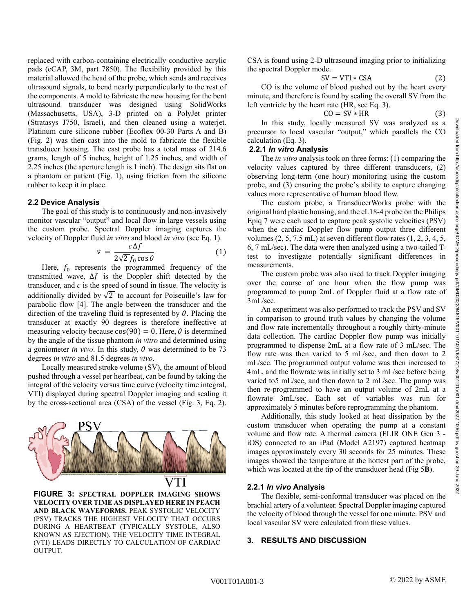replaced with carbon-containing electrically conductive acrylic pads (eCAP, 3M, part 7850). The flexibility provided by this material allowed the head of the probe, which sends and receives ultrasound signals, to bend nearly perpendicularly to the rest of the components. A mold to fabricate the new housing for the bent ultrasound transducer was designed using SolidWorks (Massachusetts, USA), 3-D printed on a PolyJet printer (Stratasys J750, Israel), and then cleaned using a waterjet. Platinum cure silicone rubber (Ecoflex 00-30 Parts A and B) (Fig. 2) was then cast into the mold to fabricate the flexible transducer housing. The cast probe has a total mass of 214.6 grams, length of 5 inches, height of 1.25 inches, and width of 2.25 inches (the aperture length is 1 inch). The design sits flat on a phantom or patient (Fig. 1), using friction from the silicone rubber to keep it in place.

#### **2.2 Device Analysis**

The goal of this study is to continuously and non-invasively monitor vascular "output" and local flow in large vessels using the custom probe. Spectral Doppler imaging captures the velocity of Doppler fluid *in vitro* and blood *in vivo* (see Eq. 1).

$$
v = \frac{c\Delta f}{2\sqrt{2}f_0\cos\theta} \tag{1}
$$

Here,  $f_0$  represents the programmed frequency of the transmitted wave,  $\Delta f$  is the Doppler shift detected by the transducer, and *c* is the speed of sound in tissue. The velocity is additionally divided by  $\sqrt{2}$  to account for Poiseuille's law for parabolic flow [4]. The angle between the transducer and the direction of the traveling fluid is represented by  $\theta$ . Placing the transducer at exactly 90 degrees is therefore ineffective at measuring velocity because  $cos(90) = 0$ . Here,  $\theta$  is determined by the angle of the tissue phantom *in vitro* and determined using a goniometer *in vivo*. In this study,  $\theta$  was determined to be 73 degrees *in vitro* and 81.5 degrees *in vivo*.

Locally measured stroke volume (SV), the amount of blood pushed through a vessel per heartbeat, can be found by taking the integral of the velocity versus time curve (velocity time integral, VTI) displayed during spectral Doppler imaging and scaling it by the cross-sectional area (CSA) of the vessel (Fig. 3, Eq. 2).



**FIGURE 3: SPECTRAL DOPPLER IMAGING SHOWS VELOCITY OVER TIME AS DISPLAYED HERE IN PEACH AND BLACK WAVEFORMS.** PEAK SYSTOLIC VELOCITY (PSV) TRACKS THE HIGHEST VELOCITY THAT OCCURS DURING A HEARTBEAT (TYPICALLY SYSTOLE, ALSO KNOWN AS EJECTION). THE VELOCITY TIME INTEGRAL (VTI) LEADS DIRECTLY TO CALCULATION OF CARDIAC OUTPUT.

CSA is found using 2-D ultrasound imaging prior to initializing the spectral Doppler mode.

$$
SV = VTI * CSA
$$
 (2)

CO is the volume of blood pushed out by the heart every minute, and therefore is found by scaling the overall SV from the left ventricle by the heart rate (HR, see Eq. 3).

$$
CO = SV * HR
$$
 (3)

In this study, locally measured SV was analyzed as a precursor to local vascular "output," which parallels the CO calculation (Eq. 3).

#### **2.2.1** *In vitro* **Analysis**

The *in vitro* analysis took on three forms: (1) comparing the velocity values captured by three different transducers, (2) observing long-term (one hour) monitoring using the custom probe, and (3) ensuring the probe's ability to capture changing values more representative of human blood flow.

The custom probe, a TransducerWorks probe with the original hard plastic housing, and the eL18-4 probe on the Philips Epiq 7 were each used to capture peak systolic velocities (PSV) when the cardiac Doppler flow pump output three different volumes  $(2, 5, 7.5$  mL) at seven different flow rates  $(1, 2, 3, 4, 5, 1)$ 6, 7 mL/sec). The data were then analyzed using a two-tailed Ttest to investigate potentially significant differences in measurements.

The custom probe was also used to track Doppler imaging over the course of one hour when the flow pump was programmed to pump 2mL of Doppler fluid at a flow rate of 3mL/sec.

An experiment was also performed to track the PSV and SV in comparison to ground truth values by changing the volume and flow rate incrementally throughout a roughly thirty-minute data collection. The cardiac Doppler flow pump was initially programmed to dispense 2mL at a flow rate of 3 mL/sec. The flow rate was then varied to 5 mL/sec, and then down to 2 mL/sec. The programmed output volume was then increased to 4mL, and the flowrate was initially set to 3 mL/sec before being varied to5 mL/sec, and then down to 2 mL/sec. The pump was then re-programmed to have an output volume of 2mL at a flowrate 3mL/sec. Each set of variables was run for approximately 5 minutes before reprogramming the phantom.

Additionally, this study looked at heat dissipation by the custom transducer when operating the pump at a constant volume and flow rate. A thermal camera (FLIR ONE Gen 3 iOS) connected to an iPad (Model A2197) captured heatmap images approximately every 30 seconds for 25 minutes. These images showed the temperature at the hottest part of the probe, which was located at the tip of the transducer head (Fig 5**B**).

#### **2.2.1** *In vivo* **Analysis**

The flexible, semi-conformal transducer was placed on the brachial artery of a volunteer. Spectral Doppler imaging captured the velocity of blood through the vessel for one minute. PSV and local vascular SV were calculated from these values.

#### **3. RESULTS AND DISCUSSION**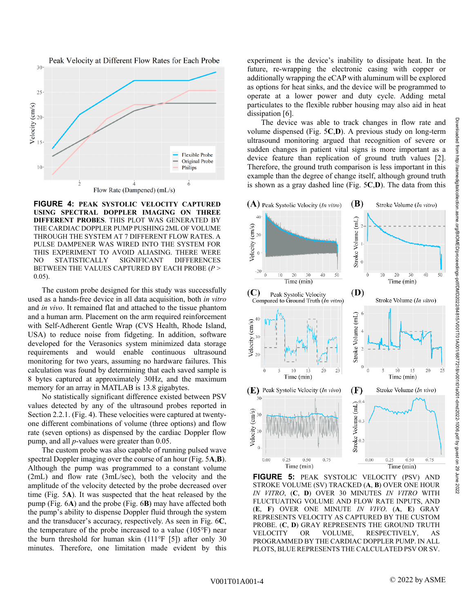

**FIGURE 4: PEAK SYSTOLIC VELOCITY CAPTURED USING SPECTRAL DOPPLER IMAGING ON THREE DIFFERENT PROBES**. THIS PLOT WAS GENERATED BY THE CARDIAC DOPPLER PUMP PUSHING 2ML OF VOLUME THROUGH THE SYSTEM AT 7 DIFFERENT FLOW RATES. A PULSE DAMPENER WAS WIRED INTO THE SYSTEM FOR THIS EXPERIMENT TO AVOID ALIASING. THERE WERE NO STATISTICALLY SIGNIFICANT DIFFERENCES BETWEEN THE VALUES CAPTURED BY EACH PROBE (*P* > 0.05).

The custom probe designed for this study was successfully used as a hands-free device in all data acquisition, both *in vitro* and *in vivo*. It remained flat and attached to the tissue phantom and a human arm. Placement on the arm required reinforcement with Self-Adherent Gentle Wrap (CVS Health, Rhode Island, USA) to reduce noise from fidgeting. In addition, software developed for the Verasonics system minimized data storage requirements and would enable continuous ultrasound monitoring for two years, assuming no hardware failures. This calculation was found by determining that each saved sample is 8 bytes captured at approximately 30Hz, and the maximum memory for an array in MATLAB is 13.8 gigabytes.

No statistically significant difference existed between PSV values detected by any of the ultrasound probes reported in Section 2.2.1. (Fig. 4). These velocities were captured at twentyone different combinations of volume (three options) and flow rate (seven options) as dispensed by the cardiac Doppler flow pump, and all *p*-values were greater than 0.05.

The custom probe was also capable of running pulsed wave spectral Doppler imaging over the course of an hour (Fig. 5**A**,**B**). Although the pump was programmed to a constant volume (2mL) and flow rate (3mL/sec), both the velocity and the amplitude of the velocity detected by the probe decreased over time (Fig. 5**A**). It was suspected that the heat released by the pump (Fig. 6**A**) and the probe (Fig. 6**B**) may have affected both the pump's ability to dispense Doppler fluid through the system and the transducer's accuracy, respectively. As seen in Fig. 6**C**, the temperature of the probe increased to a value (105℉) near the burn threshold for human skin  $(111°F [5])$  after only 30 minutes. Therefore, one limitation made evident by this

experiment is the device's inability to dissipate heat. In the future, re-wrapping the electronic casing with copper or additionally wrapping the eCAP with aluminum will be explored as options for heat sinks, and the device will be programmed to operate at a lower power and duty cycle. Adding metal particulates to the flexible rubber housing may also aid in heat dissipation [6].

The device was able to track changes in flow rate and volume dispensed (Fig. 5**C**,**D**). A previous study on long-term ultrasound monitoring argued that recognition of severe or sudden changes in patient vital signs is more important as a device feature than replication of ground truth values [2]. Therefore, the ground truth comparison is less important in this example than the degree of change itself, although ground truth is shown as a gray dashed line (Fig. 5**C**,**D**). The data from this



**FIGURE 5:** PEAK SYSTOLIC VELOCITY (PSV) AND STROKE VOLUME (SV) TRACKED (**A**, **B**) OVER ONE HOUR *IN VITRO*, (**C**, **D**) OVER 30 MINUTES *IN VITRO* WITH FLUCTUATING VOLUME AND FLOW RATE INPUTS, AND (**E**, **F**) OVER ONE MINUTE *IN VIVO*. (**A**, **E**) GRAY REPRESENTS VELOCITY AS CAPTURED BY THE CUSTOM PROBE. (**C**, **D**) GRAY REPRESENTS THE GROUND TRUTH VELOCITY OR VOLUME, RESPECTIVELY, AS PROGRAMMED BY THE CARDIAC DOPPLER PUMP. IN ALL PLOTS, BLUE REPRESENTS THE CALCULATED PSV OR SV.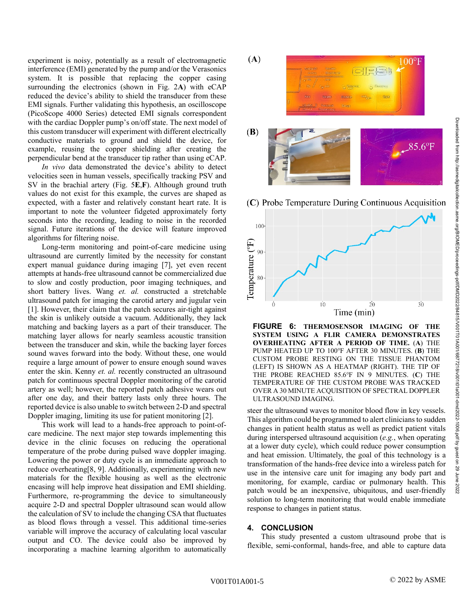experiment is noisy, potentially as a result of electromagnetic interference (EMI) generated by the pump and/or the Verasonics system. It is possible that replacing the copper casing surrounding the electronics (shown in Fig. 2**A**) with eCAP reduced the device's ability to shield the transducer from these EMI signals. Further validating this hypothesis, an oscilloscope (PicoScope 4000 Series) detected EMI signals correspondent with the cardiac Doppler pump's on/off state. The next model of this custom transducer will experiment with different electrically conductive materials to ground and shield the device, for example, reusing the copper shielding after creating the perpendicular bend at the transducer tip rather than using eCAP.

*In vivo* data demonstrated the device's ability to detect velocities seen in human vessels, specifically tracking PSV and SV in the brachial artery (Fig. 5**E**,**F**). Although ground truth values do not exist for this example, the curves are shaped as expected, with a faster and relatively constant heart rate. It is important to note the volunteer fidgeted approximately forty seconds into the recording, leading to noise in the recorded signal. Future iterations of the device will feature improved algorithms for filtering noise.

Long-term monitoring and point-of-care medicine using ultrasound are currently limited by the necessity for constant expert manual guidance during imaging [7], yet even recent attempts at hands-free ultrasound cannot be commercialized due to slow and costly production, poor imaging techniques, and short battery lives. Wang *et. al.* constructed a stretchable ultrasound patch for imaging the carotid artery and jugular vein [1]. However, their claim that the patch secures air-tight against the skin is unlikely outside a vacuum. Additionally, they lack matching and backing layers as a part of their transducer. The matching layer allows for nearly seamless acoustic transition between the transducer and skin, while the backing layer forces sound waves forward into the body. Without these, one would require a large amount of power to ensure enough sound waves enter the skin. Kenny *et. al.* recently constructed an ultrasound patch for continuous spectral Doppler monitoring of the carotid artery as well; however, the reported patch adhesive wears out after one day, and their battery lasts only three hours. The reported device is also unable to switch between 2-D and spectral Doppler imaging, limiting its use for patient monitoring [2].

This work will lead to a hands-free approach to point-ofcare medicine. The next major step towards implementing this device in the clinic focuses on reducing the operational temperature of the probe during pulsed wave doppler imaging. Lowering the power or duty cycle is an immediate approach to reduce overheating[8, 9]. Additionally, experimenting with new materials for the flexible housing as well as the electronic encasing will help improve heat dissipation and EMI shielding. Furthermore, re-programming the device to simultaneously acquire 2-D and spectral Doppler ultrasound scan would allow the calculation of SV to include the changing CSA that fluctuates as blood flows through a vessel. This additional time-series variable will improve the accuracy of calculating local vascular output and CO. The device could also be improved by incorporating a machine learning algorithm to automatically



(C) Probe Temperature During Continuous Acquisition



**FIGURE 6: THERMOSENSOR IMAGING OF THE SYSTEM USING A FLIR CAMERA DEMONSTRATES OVERHEATING AFTER A PERIOD OF TIME.** (**A**) THE PUMP HEATED UP TO 100℉ AFTER 30 MINUTES. (**B**) THE CUSTOM PROBE RESTING ON THE TISSUE PHANTOM (LEFT) IS SHOWN AS A HEATMAP (RIGHT). THE TIP OF THE PROBE REACHED 85.6℉ IN 9 MINUTES. (**C**) THE TEMPERATURE OF THE CUSTOM PROBE WAS TRACKED OVER A 30 MINUTE ACQUISITION OF SPECTRAL DOPPLER ULTRASOUND IMAGING.

steer the ultrasound waves to monitor blood flow in key vessels. This algorithm could be programmed to alert clinicians to sudden changes in patient health status as well as predict patient vitals during interspersed ultrasound acquisition (*e.g.*, when operating at a lower duty cycle), which could reduce power consumption and heat emission. Ultimately, the goal of this technology is a transformation of the hands-free device into a wireless patch for use in the intensive care unit for imaging any body part and monitoring, for example, cardiac or pulmonary health. This patch would be an inexpensive, ubiquitous, and user-friendly solution to long-term monitoring that would enable immediate response to changes in patient status.

## **4. CONCLUSION**

This study presented a custom ultrasound probe that is flexible, semi-conformal, hands-free, and able to capture data